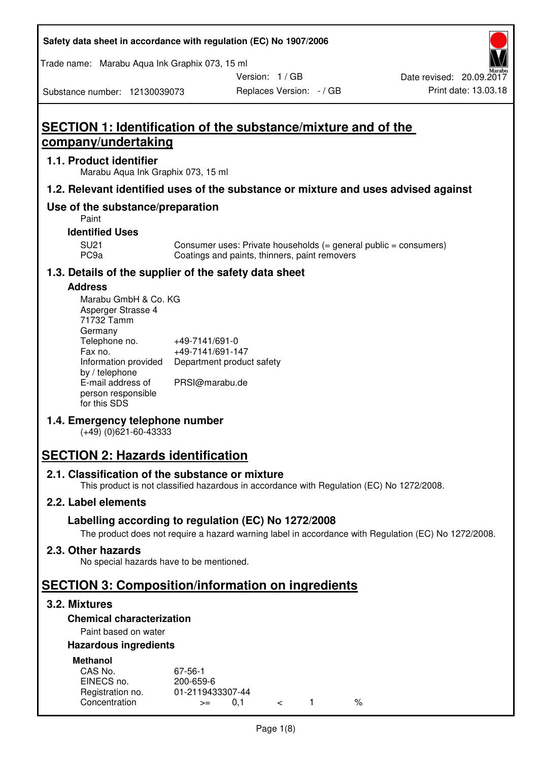Trade name: Marabu Aqua Ink Graphix 073, 15 ml

Version: 1 / GB

Replaces Version: - / GB Print date: 13.03.18 Date revised: 20.09.2017

Substance number: 12130039073

# **SECTION 1: Identification of the substance/mixture and of the company/undertaking**

#### **1.1. Product identifier**

Marabu Aqua Ink Graphix 073, 15 ml

## **1.2. Relevant identified uses of the substance or mixture and uses advised against**

# **Use of the substance/preparation**

Paint

#### **Identified Uses**

SU21 Consumer uses: Private households (= general public = consumers)<br>PC9a Coatings and paints, thinners, paint removers Coatings and paints, thinners, paint removers

## **1.3. Details of the supplier of the safety data sheet**

#### **Address**

| Marabu GmbH & Co. KG |                           |
|----------------------|---------------------------|
| Asperger Strasse 4   |                           |
| 71732 Tamm           |                           |
| Germany              |                           |
| Telephone no.        | +49-7141/691-0            |
| Fax no.              | +49-7141/691-147          |
| Information provided | Department product safety |
| by / telephone       |                           |
| E-mail address of    | PRSI@marabu.de            |
| person responsible   |                           |
| for this SDS         |                           |

## **1.4. Emergency telephone number**

(+49) (0)621-60-43333

# **SECTION 2: Hazards identification**

## **2.1. Classification of the substance or mixture**

This product is not classified hazardous in accordance with Regulation (EC) No 1272/2008.

## **2.2. Label elements**

## **Labelling according to regulation (EC) No 1272/2008**

The product does not require a hazard warning label in accordance with Regulation (EC) No 1272/2008.

#### **2.3. Other hazards**

No special hazards have to be mentioned.

# **SECTION 3: Composition/information on ingredients**

## **3.2. Mixtures**

## **Chemical characterization**

## Paint based on water

#### **Hazardous ingredients**

| <b>Methanol</b>  |                  |  |   |
|------------------|------------------|--|---|
| CAS No.          | 67-56-1          |  |   |
| EINECS no.       | 200-659-6        |  |   |
| Registration no. | 01-2119433307-44 |  |   |
| Concentration    | $>=$             |  | % |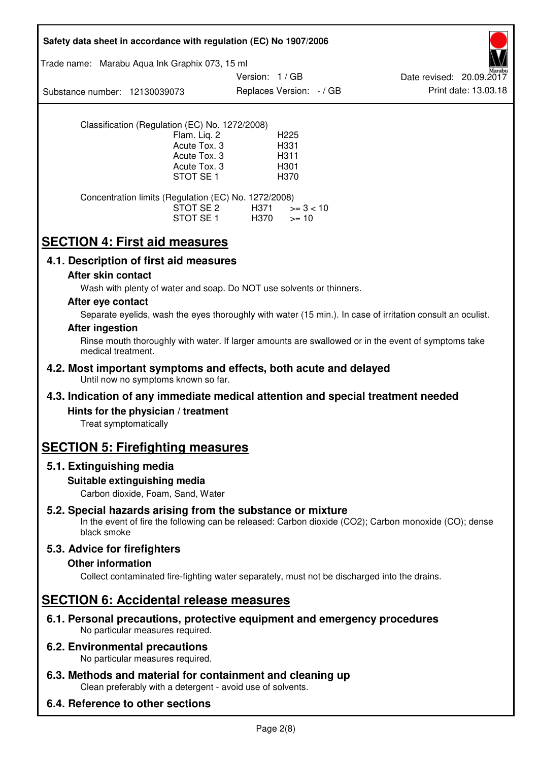| Safety data sheet in accordance with regulation (EC) No 1907/2006                                                        |                                                                                      |               |                                                  |                                                                                                            |
|--------------------------------------------------------------------------------------------------------------------------|--------------------------------------------------------------------------------------|---------------|--------------------------------------------------|------------------------------------------------------------------------------------------------------------|
| Trade name: Marabu Aqua Ink Graphix 073, 15 ml                                                                           |                                                                                      |               |                                                  |                                                                                                            |
| Substance number: 12130039073                                                                                            |                                                                                      | Version: 1/GB | Replaces Version: - / GB                         | Date revised: 20.09.2017<br>Print date: 13.03.18                                                           |
| Classification (Regulation (EC) No. 1272/2008)                                                                           | Flam. Liq. 2<br>Acute Tox. 3<br>Acute Tox. 3<br>Acute Tox. 3<br>STOT SE <sub>1</sub> |               | H <sub>225</sub><br>H331<br>H311<br>H301<br>H370 |                                                                                                            |
| Concentration limits (Regulation (EC) No. 1272/2008)                                                                     | STOT SE 2<br>STOT SE 1                                                               | H371<br>H370  | $>= 3 < 10$<br>$>= 10$                           |                                                                                                            |
| <b>SECTION 4: First aid measures</b>                                                                                     |                                                                                      |               |                                                  |                                                                                                            |
| 4.1. Description of first aid measures                                                                                   |                                                                                      |               |                                                  |                                                                                                            |
| After skin contact<br>Wash with plenty of water and soap. Do NOT use solvents or thinners.                               |                                                                                      |               |                                                  |                                                                                                            |
| After eye contact                                                                                                        |                                                                                      |               |                                                  |                                                                                                            |
|                                                                                                                          |                                                                                      |               |                                                  | Separate eyelids, wash the eyes thoroughly with water (15 min.). In case of irritation consult an oculist. |
| <b>After ingestion</b>                                                                                                   |                                                                                      |               |                                                  |                                                                                                            |
| medical treatment.                                                                                                       |                                                                                      |               |                                                  | Rinse mouth thoroughly with water. If larger amounts are swallowed or in the event of symptoms take        |
| 4.2. Most important symptoms and effects, both acute and delayed<br>Until now no symptoms known so far.                  |                                                                                      |               |                                                  |                                                                                                            |
| 4.3. Indication of any immediate medical attention and special treatment needed                                          |                                                                                      |               |                                                  |                                                                                                            |
| Hints for the physician / treatment<br>Treat symptomatically                                                             |                                                                                      |               |                                                  |                                                                                                            |
| <b>SECTION 5: Firefighting measures</b>                                                                                  |                                                                                      |               |                                                  |                                                                                                            |
| 5.1. Extinguishing media                                                                                                 |                                                                                      |               |                                                  |                                                                                                            |
| Suitable extinguishing media<br>Carbon dioxide, Foam, Sand, Water                                                        |                                                                                      |               |                                                  |                                                                                                            |
| 5.2. Special hazards arising from the substance or mixture<br>black smoke                                                |                                                                                      |               |                                                  | In the event of fire the following can be released: Carbon dioxide (CO2); Carbon monoxide (CO); dense      |
| 5.3. Advice for firefighters                                                                                             |                                                                                      |               |                                                  |                                                                                                            |
| <b>Other information</b><br>Collect contaminated fire-fighting water separately, must not be discharged into the drains. |                                                                                      |               |                                                  |                                                                                                            |
| <b>SECTION 6: Accidental release measures</b>                                                                            |                                                                                      |               |                                                  |                                                                                                            |
| 6.1. Personal precautions, protective equipment and emergency procedures<br>No particular measures required.             |                                                                                      |               |                                                  |                                                                                                            |
| 6.2. Environmental precautions<br>No particular measures required.                                                       |                                                                                      |               |                                                  |                                                                                                            |
| 6.3. Methods and material for containment and cleaning up<br>Clean preferably with a detergent - avoid use of solvents.  |                                                                                      |               |                                                  |                                                                                                            |
| 6.4. Reference to other sections                                                                                         |                                                                                      |               |                                                  |                                                                                                            |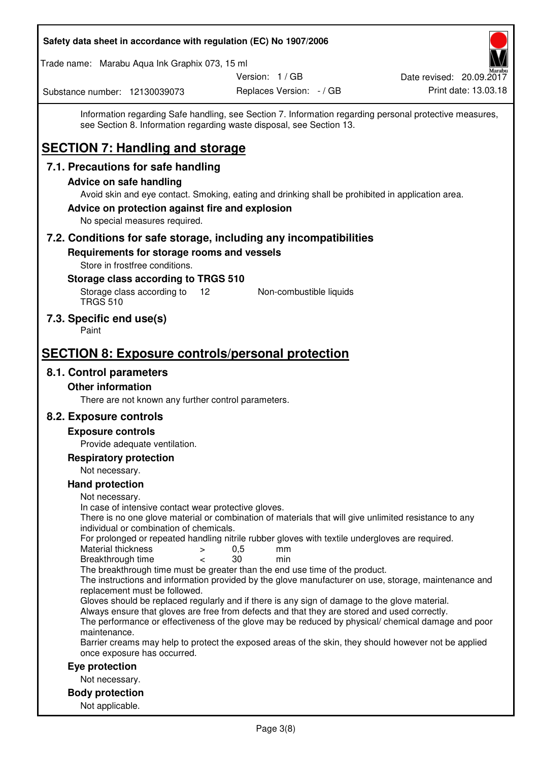| Safety data sheet in accordance with regulation (EC) No 1907/2006                                                                                                                                                              |                          |                          |
|--------------------------------------------------------------------------------------------------------------------------------------------------------------------------------------------------------------------------------|--------------------------|--------------------------|
| Trade name: Marabu Aqua Ink Graphix 073, 15 ml                                                                                                                                                                                 |                          |                          |
|                                                                                                                                                                                                                                | Version: 1 / GB          | Date revised: 20.09.2017 |
| Substance number: 12130039073                                                                                                                                                                                                  | Replaces Version: - / GB | Print date: 13.03.18     |
| Information regarding Safe handling, see Section 7. Information regarding personal protective measures,<br>see Section 8. Information regarding waste disposal, see Section 13.<br><b>SECTION 7: Handling and storage</b>      |                          |                          |
| 7.1. Precautions for safe handling                                                                                                                                                                                             |                          |                          |
| <b>Advice on safe handling</b>                                                                                                                                                                                                 |                          |                          |
| Avoid skin and eye contact. Smoking, eating and drinking shall be prohibited in application area.<br>Advice on protection against fire and explosion<br>No special measures required.                                          |                          |                          |
| 7.2. Conditions for safe storage, including any incompatibilities                                                                                                                                                              |                          |                          |
| Requirements for storage rooms and vessels<br>Store in frostfree conditions.                                                                                                                                                   |                          |                          |
| Storage class according to TRGS 510<br>Storage class according to<br>12 <sup>°</sup><br><b>TRGS 510</b>                                                                                                                        | Non-combustible liquids  |                          |
| 7.3. Specific end use(s)<br>Paint                                                                                                                                                                                              |                          |                          |
| <b>SECTION 8: Exposure controls/personal protection</b>                                                                                                                                                                        |                          |                          |
| 8.1. Control parameters                                                                                                                                                                                                        |                          |                          |
| <b>Other information</b>                                                                                                                                                                                                       |                          |                          |
| There are not known any further control parameters.                                                                                                                                                                            |                          |                          |
| 8.2. Exposure controls                                                                                                                                                                                                         |                          |                          |
| <b>Exposure controls</b>                                                                                                                                                                                                       |                          |                          |
| Provide adequate ventilation.                                                                                                                                                                                                  |                          |                          |
| <b>Respiratory protection</b>                                                                                                                                                                                                  |                          |                          |
| Not necessary.<br><b>Hand protection</b>                                                                                                                                                                                       |                          |                          |
| Not necessary.                                                                                                                                                                                                                 |                          |                          |
| In case of intensive contact wear protective gloves.<br>There is no one glove material or combination of materials that will give unlimited resistance to any<br>individual or combination of chemicals.                       |                          |                          |
| For prolonged or repeated handling nitrile rubber gloves with textile undergloves are required.<br>Material thickness<br>$\, > \,$                                                                                             | 0,5<br>mm                |                          |
| Breakthrough time<br>$\lt$<br>The breakthrough time must be greater than the end use time of the product.                                                                                                                      | 30<br>min                |                          |
| The instructions and information provided by the glove manufacturer on use, storage, maintenance and                                                                                                                           |                          |                          |
| replacement must be followed.<br>Gloves should be replaced regularly and if there is any sign of damage to the glove material.<br>Always ensure that gloves are free from defects and that they are stored and used correctly. |                          |                          |
| The performance or effectiveness of the glove may be reduced by physical/ chemical damage and poor<br>maintenance.<br>Barrier creams may help to protect the exposed areas of the skin, they should however not be applied     |                          |                          |
| once exposure has occurred.<br>Eye protection                                                                                                                                                                                  |                          |                          |
| Not necessary.                                                                                                                                                                                                                 |                          |                          |
| <b>Body protection</b>                                                                                                                                                                                                         |                          |                          |
| Not applicable.                                                                                                                                                                                                                |                          |                          |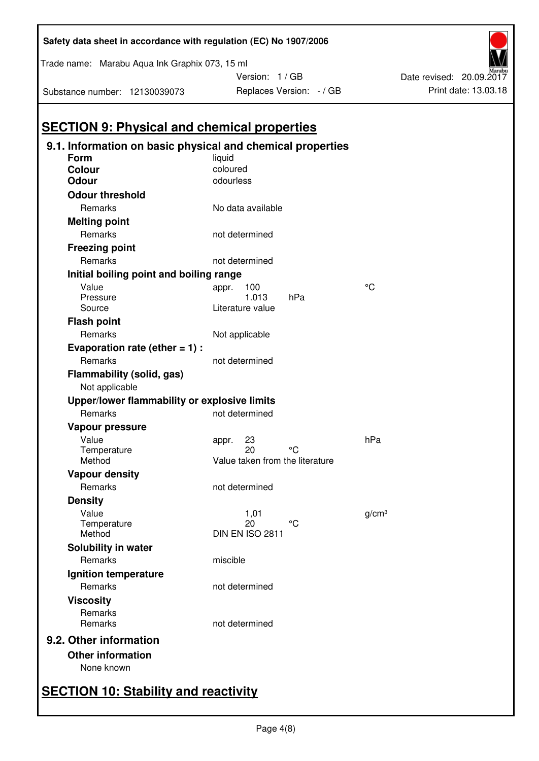| Substance number: 12130039073           |                                                            | Replaces Version: - / GB |
|-----------------------------------------|------------------------------------------------------------|--------------------------|
|                                         | <b>SECTION 9: Physical and chemical properties</b>         |                          |
|                                         | 9.1. Information on basic physical and chemical properties |                          |
| Form                                    | liquid                                                     |                          |
| <b>Colour</b>                           | coloured                                                   |                          |
| <b>Odour</b>                            | odourless                                                  |                          |
| <b>Odour threshold</b>                  |                                                            |                          |
| Remarks                                 | No data available                                          |                          |
| <b>Melting point</b>                    |                                                            |                          |
| Remarks                                 | not determined                                             |                          |
| <b>Freezing point</b>                   |                                                            |                          |
| Remarks                                 | not determined                                             |                          |
| Initial boiling point and boiling range |                                                            |                          |
| Value                                   | 100<br>appr.                                               | °C                       |
| Pressure                                | 1.013                                                      | hPa                      |
| Source                                  | Literature value                                           |                          |
| <b>Flash point</b>                      |                                                            |                          |
| Remarks                                 | Not applicable                                             |                          |
| Evaporation rate (ether $= 1$ ) :       |                                                            |                          |
| Remarks                                 | not determined                                             |                          |
| Flammability (solid, gas)               |                                                            |                          |
| Not applicable                          |                                                            |                          |
|                                         | Upper/lower flammability or explosive limits               |                          |
| Remarks                                 | not determined                                             |                          |
| Vapour pressure                         |                                                            |                          |
| Value                                   | 23<br>appr.                                                | hPa                      |
| Temperature                             | 20                                                         | °۲                       |
| Method                                  | Value taken from the literature                            |                          |
| <b>Vapour density</b>                   |                                                            |                          |
| Remarks                                 | not determined                                             |                          |
| <b>Density</b>                          |                                                            |                          |
| Value                                   | 1,01                                                       | q/cm <sup>3</sup>        |
| Temperature                             | 20<br>DIN EN ISO 2811                                      | °C                       |
| Method                                  |                                                            |                          |
| Solubility in water                     |                                                            |                          |
| Remarks                                 | miscible                                                   |                          |
| Ignition temperature                    |                                                            |                          |
| Remarks                                 | not determined                                             |                          |
| <b>Viscosity</b>                        |                                                            |                          |
| Remarks                                 |                                                            |                          |
| Remarks                                 | not determined                                             |                          |
| 9.2. Other information                  |                                                            |                          |
| <b>Other information</b>                |                                                            |                          |

Trade name: Marabu Aqua Ink Graphix 073, 15 ml

Version: 1 / GB

Print date: 13.03.18

Date revised: 20.09.2017

# None known

# **SECTION 10: Stability and reactivity**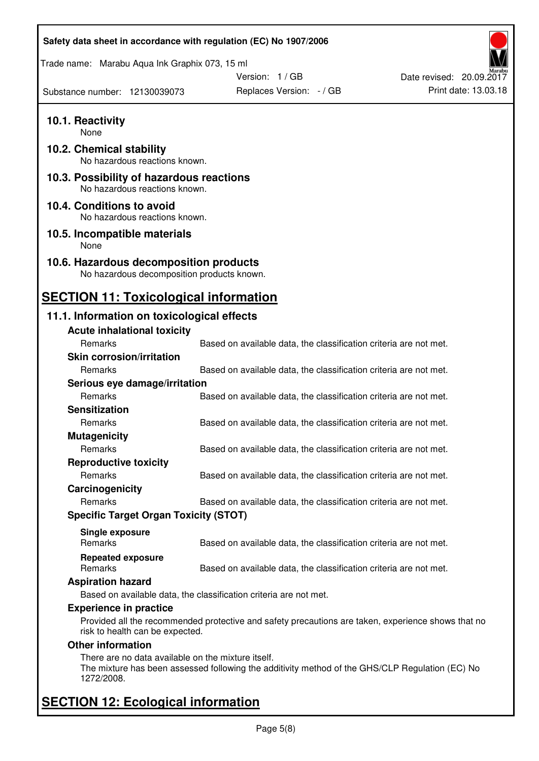| Safety data sheet in accordance with regulation (EC) No 1907/2006                    |                                                                                                    |                          |
|--------------------------------------------------------------------------------------|----------------------------------------------------------------------------------------------------|--------------------------|
| Trade name: Marabu Aqua Ink Graphix 073, 15 ml                                       |                                                                                                    |                          |
|                                                                                      | Version: 1 / GB                                                                                    | Date revised: 20.09.2017 |
| Substance number: 12130039073                                                        | Replaces Version: - / GB                                                                           | Print date: 13.03.18     |
| 10.1. Reactivity<br>None                                                             |                                                                                                    |                          |
| 10.2. Chemical stability<br>No hazardous reactions known.                            |                                                                                                    |                          |
| 10.3. Possibility of hazardous reactions<br>No hazardous reactions known.            |                                                                                                    |                          |
| 10.4. Conditions to avoid<br>No hazardous reactions known.                           |                                                                                                    |                          |
| 10.5. Incompatible materials<br>None                                                 |                                                                                                    |                          |
| 10.6. Hazardous decomposition products<br>No hazardous decomposition products known. |                                                                                                    |                          |
| <b>SECTION 11: Toxicological information</b>                                         |                                                                                                    |                          |
| 11.1. Information on toxicological effects                                           |                                                                                                    |                          |
| <b>Acute inhalational toxicity</b>                                                   |                                                                                                    |                          |
| Remarks                                                                              | Based on available data, the classification criteria are not met.                                  |                          |
| <b>Skin corrosion/irritation</b>                                                     |                                                                                                    |                          |
| Remarks                                                                              | Based on available data, the classification criteria are not met.                                  |                          |
| Serious eye damage/irritation                                                        |                                                                                                    |                          |
| Remarks                                                                              | Based on available data, the classification criteria are not met.                                  |                          |
| <b>Sensitization</b>                                                                 |                                                                                                    |                          |
| Remarks                                                                              | Based on available data, the classification criteria are not met.                                  |                          |
| <b>Mutagenicity</b>                                                                  |                                                                                                    |                          |
| Remarks                                                                              | Based on available data, the classification criteria are not met.                                  |                          |
| <b>Reproductive toxicity</b>                                                         |                                                                                                    |                          |
| Remarks                                                                              | Based on available data, the classification criteria are not met.                                  |                          |
| Carcinogenicity                                                                      |                                                                                                    |                          |
| Remarks                                                                              | Based on available data, the classification criteria are not met.                                  |                          |
| <b>Specific Target Organ Toxicity (STOT)</b>                                         |                                                                                                    |                          |
|                                                                                      |                                                                                                    |                          |
| Single exposure<br><b>Remarks</b>                                                    | Based on available data, the classification criteria are not met.                                  |                          |
| <b>Repeated exposure</b>                                                             |                                                                                                    |                          |
| Remarks                                                                              | Based on available data, the classification criteria are not met.                                  |                          |
| <b>Aspiration hazard</b>                                                             |                                                                                                    |                          |
|                                                                                      | Based on available data, the classification criteria are not met.                                  |                          |
| <b>Experience in practice</b>                                                        |                                                                                                    |                          |
| risk to health can be expected.                                                      | Provided all the recommended protective and safety precautions are taken, experience shows that no |                          |
| <b>Other information</b>                                                             |                                                                                                    |                          |
| There are no data available on the mixture itself.<br>1272/2008.                     | The mixture has been assessed following the additivity method of the GHS/CLP Regulation (EC) No    |                          |
| <b>SECTION 12: Ecological information</b>                                            |                                                                                                    |                          |

# Page 5(8)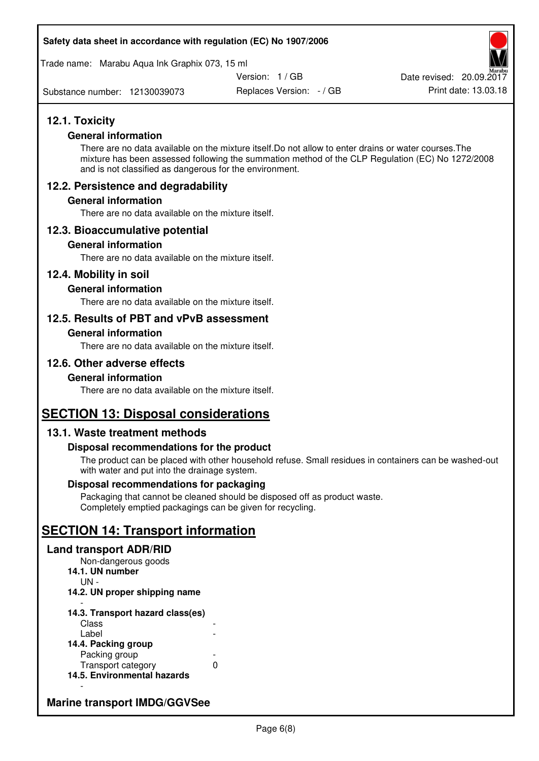Trade name: Marabu Aqua Ink Graphix 073, 15 ml

Version: 1 / GB

Substance number: 12130039073

Replaces Version: - / GB Print date: 13.03.18 Date revised: 20.09.2017

# **12.1. Toxicity**

#### **General information**

There are no data available on the mixture itself.Do not allow to enter drains or water courses.The mixture has been assessed following the summation method of the CLP Regulation (EC) No 1272/2008 and is not classified as dangerous for the environment.

# **12.2. Persistence and degradability**

#### **General information**

There are no data available on the mixture itself.

## **12.3. Bioaccumulative potential**

#### **General information**

There are no data available on the mixture itself.

#### **12.4. Mobility in soil**

#### **General information**

There are no data available on the mixture itself.

## **12.5. Results of PBT and vPvB assessment**

#### **General information**

There are no data available on the mixture itself.

# **12.6. Other adverse effects**

#### **General information**

There are no data available on the mixture itself.

# **SECTION 13: Disposal considerations**

## **13.1. Waste treatment methods**

#### **Disposal recommendations for the product**

The product can be placed with other household refuse. Small residues in containers can be washed-out with water and put into the drainage system.

#### **Disposal recommendations for packaging**

Packaging that cannot be cleaned should be disposed off as product waste. Completely emptied packagings can be given for recycling.

# **SECTION 14: Transport information**

#### **Land transport ADR/RID**

Non-dangerous goods **14.1. UN number**  UN - **14.2. UN proper shipping name**  -

#### **14.3. Transport hazard class(es) Class** Label

| 14.4. Packing group         |   |
|-----------------------------|---|
| Packing group               |   |
| Transport category          | O |
| 14.5. Environmental hazards |   |

# **Marine transport IMDG/GGVSee**

-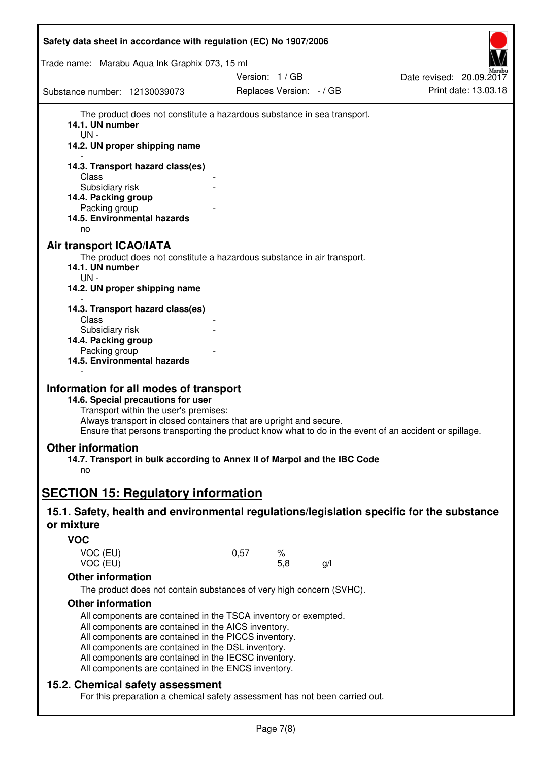| Safety data sheet in accordance with regulation (EC) No 1907/2006                                                                                                                                                                                                                                                                                                               |      |                          |     |                          |
|---------------------------------------------------------------------------------------------------------------------------------------------------------------------------------------------------------------------------------------------------------------------------------------------------------------------------------------------------------------------------------|------|--------------------------|-----|--------------------------|
| Trade name: Marabu Aqua Ink Graphix 073, 15 ml                                                                                                                                                                                                                                                                                                                                  |      |                          |     |                          |
|                                                                                                                                                                                                                                                                                                                                                                                 |      | Version: 1/GB            |     | Date revised: 20.09.2017 |
| Substance number: 12130039073                                                                                                                                                                                                                                                                                                                                                   |      | Replaces Version: - / GB |     | Print date: 13.03.18     |
| The product does not constitute a hazardous substance in sea transport.<br>14.1. UN number<br>$UN -$<br>14.2. UN proper shipping name                                                                                                                                                                                                                                           |      |                          |     |                          |
| 14.3. Transport hazard class(es)                                                                                                                                                                                                                                                                                                                                                |      |                          |     |                          |
| Class<br>Subsidiary risk                                                                                                                                                                                                                                                                                                                                                        |      |                          |     |                          |
| 14.4. Packing group                                                                                                                                                                                                                                                                                                                                                             |      |                          |     |                          |
| Packing group                                                                                                                                                                                                                                                                                                                                                                   |      |                          |     |                          |
| 14.5. Environmental hazards<br>no                                                                                                                                                                                                                                                                                                                                               |      |                          |     |                          |
| <b>Air transport ICAO/IATA</b><br>The product does not constitute a hazardous substance in air transport.<br>14.1. UN number<br>UN-<br>14.2. UN proper shipping name                                                                                                                                                                                                            |      |                          |     |                          |
| 14.3. Transport hazard class(es)                                                                                                                                                                                                                                                                                                                                                |      |                          |     |                          |
| Class<br>Subsidiary risk<br>14.4. Packing group<br>Packing group<br>14.5. Environmental hazards                                                                                                                                                                                                                                                                                 |      |                          |     |                          |
| Information for all modes of transport<br>14.6. Special precautions for user<br>Transport within the user's premises:<br>Always transport in closed containers that are upright and secure.<br>Ensure that persons transporting the product know what to do in the event of an accident or spillage.                                                                            |      |                          |     |                          |
| <b>Other information</b><br>14.7. Transport in bulk according to Annex II of Marpol and the IBC Code<br>no                                                                                                                                                                                                                                                                      |      |                          |     |                          |
| <b>SECTION 15: Regulatory information</b>                                                                                                                                                                                                                                                                                                                                       |      |                          |     |                          |
| 15.1. Safety, health and environmental regulations/legislation specific for the substance                                                                                                                                                                                                                                                                                       |      |                          |     |                          |
| or mixture                                                                                                                                                                                                                                                                                                                                                                      |      |                          |     |                          |
| <b>VOC</b>                                                                                                                                                                                                                                                                                                                                                                      |      |                          |     |                          |
| VOC (EU)<br>VOC (EU)                                                                                                                                                                                                                                                                                                                                                            | 0,57 | %<br>5,8                 | g/l |                          |
| <b>Other information</b>                                                                                                                                                                                                                                                                                                                                                        |      |                          |     |                          |
| The product does not contain substances of very high concern (SVHC).                                                                                                                                                                                                                                                                                                            |      |                          |     |                          |
| <b>Other information</b><br>All components are contained in the TSCA inventory or exempted.<br>All components are contained in the AICS inventory.<br>All components are contained in the PICCS inventory.<br>All components are contained in the DSL inventory.<br>All components are contained in the IECSC inventory.<br>All components are contained in the ENCS inventory. |      |                          |     |                          |
| 15.2. Chemical safety assessment<br>For this preparation a chemical safety assessment has not been carried out.                                                                                                                                                                                                                                                                 |      |                          |     |                          |